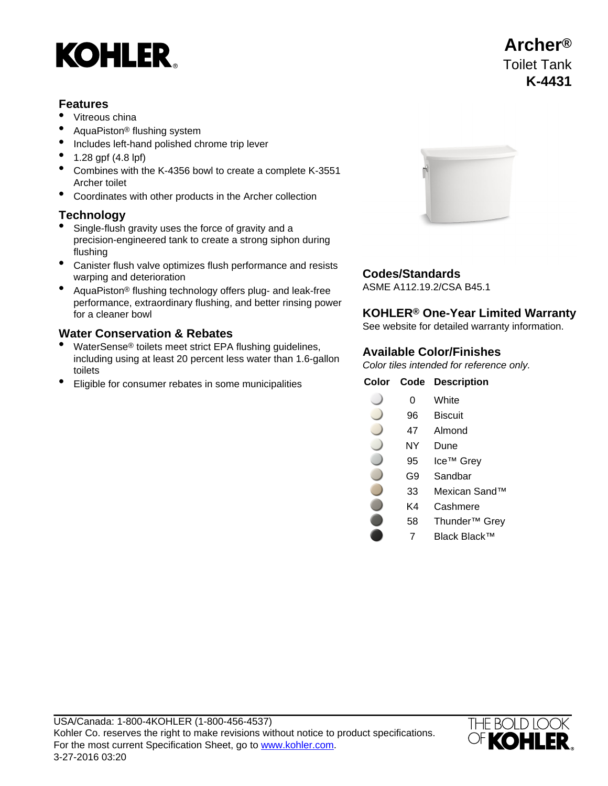# **KOHLER**

### **Features**

- Vitreous china
- AquaPiston® flushing system
- Includes left-hand polished chrome trip lever
- 1.28 gpf (4.8 lpf)
- Combines with the K-4356 bowl to create a complete K-3551 Archer toilet
- Coordinates with other products in the Archer collection

### **Technology**

- Single-flush gravity uses the force of gravity and a precision-engineered tank to create a strong siphon during flushing
- Canister flush valve optimizes flush performance and resists Examples has been performance and resists<br>warping and deterioration<br>ASME A112.19.2/CSA B45.1
- AquaPiston<sup>®</sup> flushing technology offers plug- and leak-free performance, extraordinary flushing, and better rinsing power for a cleaner bowl **KOHLER® One-Year Limited Warranty**

- WaterSense® toilets meet strict EPA flushing guidelines, including using at least 20 percent less water than 1.6-gallon toilets
- **Eligible for consumer rebates in some municipalities**



See website for detailed warranty information. **Water Conservation & Rebates**

### **Available Color/Finishes**

Color tiles intended for reference only.

| Color | Code | <b>Description</b>        |
|-------|------|---------------------------|
|       | 0    | White                     |
|       | 96   | <b>Biscuit</b>            |
|       | 47   | Almond                    |
|       | NΥ   | Dune                      |
|       | 95   | Ice™ Grey                 |
|       | G9   | Sandbar                   |
|       | 33   | Mexican Sand™             |
|       | K4   | Cashmere                  |
|       | 58   | Thunder <sup>™</sup> Grey |
|       |      | Black Black™              |



## **Archer®** Toilet Tank **K-4431**